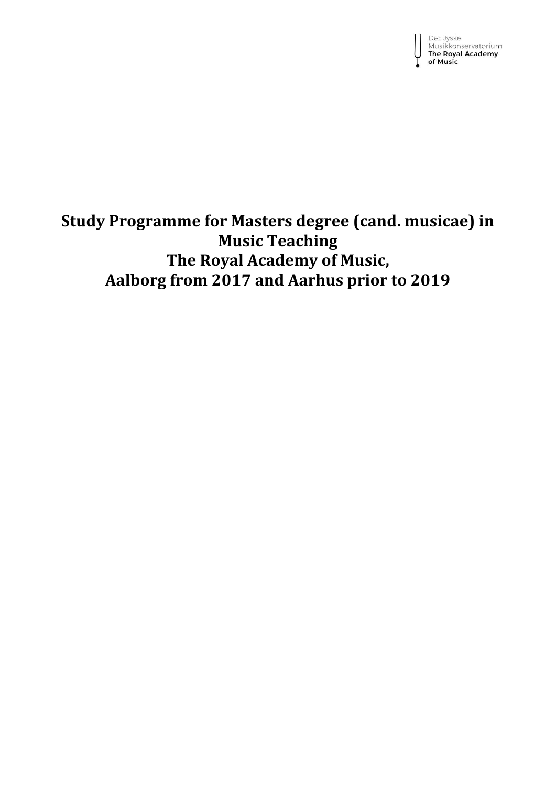Det Jyske<br>Musikkonservatorium<br>**The Royal Academy** of Music

## **Study Programme for Masters degree (cand. musicae) in Music Teaching The Royal Academy of Music, Aalborg from 2017 and Aarhus prior to 2019**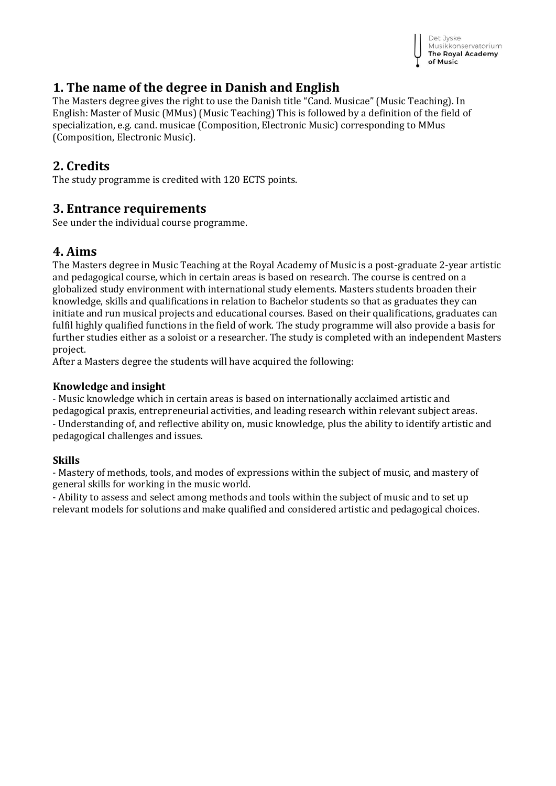

## **1. The name of the degree in Danish and English**

The Masters degree gives the right to use the Danish title "Cand. Musicae" (Music Teaching). In English: Master of Music (MMus) (Music Teaching) This is followed by a definition of the field of specialization, e.g. cand. musicae (Composition, Electronic Music) corresponding to MMus (Composition, Electronic Music).

## **2. Credits**

The study programme is credited with 120 ECTS points.

## **3. Entrance requirements**

See under the individual course programme.

## **4. Aims**

The Masters degree in Music Teaching at the Royal Academy of Music is a post-graduate 2-year artistic and pedagogical course, which in certain areas is based on research. The course is centred on a globalized study environment with international study elements. Masters students broaden their knowledge, skills and qualifications in relation to Bachelor students so that as graduates they can initiate and run musical projects and educational courses. Based on their qualifications, graduates can fulfil highly qualified functions in the field of work. The study programme will also provide a basis for further studies either as a soloist or a researcher. The study is completed with an independent Masters project.

After a Masters degree the students will have acquired the following:

## **Knowledge and insight**

- Music knowledge which in certain areas is based on internationally acclaimed artistic and pedagogical praxis, entrepreneurial activities, and leading research within relevant subject areas. - Understanding of, and reflective ability on, music knowledge, plus the ability to identify artistic and pedagogical challenges and issues.

### **Skills**

- Mastery of methods, tools, and modes of expressions within the subject of music, and mastery of general skills for working in the music world.

- Ability to assess and select among methods and tools within the subject of music and to set up relevant models for solutions and make qualified and considered artistic and pedagogical choices.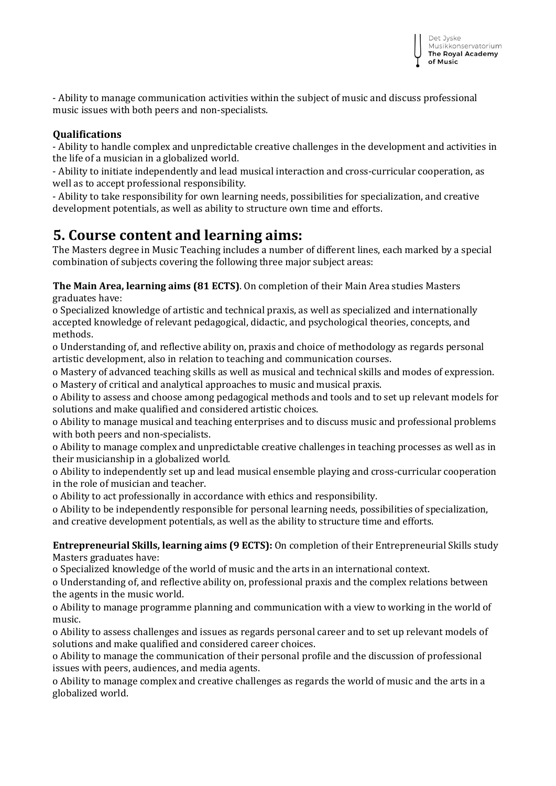- Ability to manage communication activities within the subject of music and discuss professional music issues with both peers and non-specialists.

### **Qualifications**

- Ability to handle complex and unpredictable creative challenges in the development and activities in the life of a musician in a globalized world.

- Ability to initiate independently and lead musical interaction and cross-curricular cooperation, as well as to accept professional responsibility.

- Ability to take responsibility for own learning needs, possibilities for specialization, and creative development potentials, as well as ability to structure own time and efforts.

## **5. Course content and learning aims:**

The Masters degree in Music Teaching includes a number of different lines, each marked by a special combination of subjects covering the following three major subject areas:

**The Main Area, learning aims (81 ECTS)**. On completion of their Main Area studies Masters graduates have:

o Specialized knowledge of artistic and technical praxis, as well as specialized and internationally accepted knowledge of relevant pedagogical, didactic, and psychological theories, concepts, and methods.

o Understanding of, and reflective ability on, praxis and choice of methodology as regards personal artistic development, also in relation to teaching and communication courses.

o Mastery of advanced teaching skills as well as musical and technical skills and modes of expression. o Mastery of critical and analytical approaches to music and musical praxis.

o Ability to assess and choose among pedagogical methods and tools and to set up relevant models for solutions and make qualified and considered artistic choices.

o Ability to manage musical and teaching enterprises and to discuss music and professional problems with both peers and non-specialists.

o Ability to manage complex and unpredictable creative challenges in teaching processes as well as in their musicianship in a globalized world.

o Ability to independently set up and lead musical ensemble playing and cross-curricular cooperation in the role of musician and teacher.

o Ability to act professionally in accordance with ethics and responsibility.

o Ability to be independently responsible for personal learning needs, possibilities of specialization, and creative development potentials, as well as the ability to structure time and efforts.

**Entrepreneurial Skills, learning aims (9 ECTS):** On completion of their Entrepreneurial Skills study Masters graduates have:

o Specialized knowledge of the world of music and the arts in an international context.

o Understanding of, and reflective ability on, professional praxis and the complex relations between the agents in the music world.

o Ability to manage programme planning and communication with a view to working in the world of music.

o Ability to assess challenges and issues as regards personal career and to set up relevant models of solutions and make qualified and considered career choices.

o Ability to manage the communication of their personal profile and the discussion of professional issues with peers, audiences, and media agents.

o Ability to manage complex and creative challenges as regards the world of music and the arts in a globalized world.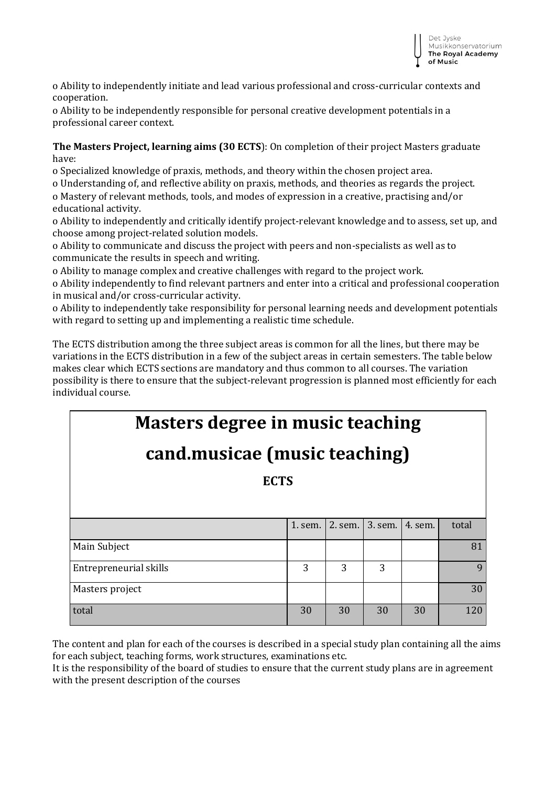o Ability to independently initiate and lead various professional and cross-curricular contexts and cooperation.

o Ability to be independently responsible for personal creative development potentials in a professional career context.

**The Masters Project, learning aims (30 ECTS**): On completion of their project Masters graduate have:

o Specialized knowledge of praxis, methods, and theory within the chosen project area.

o Understanding of, and reflective ability on praxis, methods, and theories as regards the project. o Mastery of relevant methods, tools, and modes of expression in a creative, practising and/or educational activity.

o Ability to independently and critically identify project-relevant knowledge and to assess, set up, and choose among project-related solution models.

o Ability to communicate and discuss the project with peers and non-specialists as well as to communicate the results in speech and writing.

o Ability to manage complex and creative challenges with regard to the project work.

o Ability independently to find relevant partners and enter into a critical and professional cooperation in musical and/or cross-curricular activity.

o Ability to independently take responsibility for personal learning needs and development potentials with regard to setting up and implementing a realistic time schedule.

The ECTS distribution among the three subject areas is common for all the lines, but there may be variations in the ECTS distribution in a few of the subject areas in certain semesters. The table below makes clear which ECTS sections are mandatory and thus common to all courses. The variation possibility is there to ensure that the subject-relevant progression is planned most efficiently for each individual course.

# **Masters degree in music teaching**

# **cand.musicae (music teaching)**

**ECTS**

|                        | 1. sem. | 2. sem. | 3. sem. 4. sem. |    | total |
|------------------------|---------|---------|-----------------|----|-------|
| Main Subject           |         |         |                 |    |       |
| Entrepreneurial skills | 3       | 3       | 3               |    | 9     |
| Masters project        |         |         |                 |    | 30    |
| total                  | 30      | 30      | 30              | 30 | 120   |

The content and plan for each of the courses is described in a special study plan containing all the aims for each subject, teaching forms, work structures, examinations etc.

It is the responsibility of the board of studies to ensure that the current study plans are in agreement with the present description of the courses